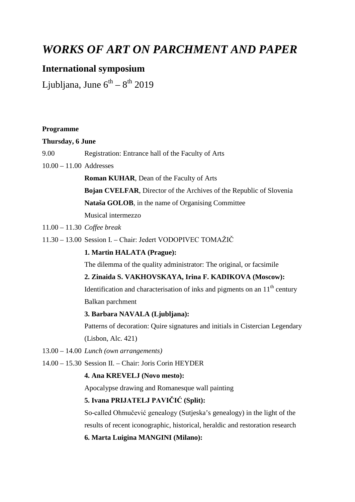# *WORKS OF ART ON PARCHMENT AND PAPER*

## **International symposium**

Ljubljana, June  $6^{th} - 8^{th}$  2019

#### **Thursday, 6 June**

- 9.00 Registration: Entrance hall of the Faculty of Arts
- 10.00 11.00 Addresses

**Roman KUHAR**, Dean of the Faculty of Arts

**Bojan CVELFAR**, Director of the Archives of the Republic of Slovenia

**Nataša GOLOB**, in the name of Organising Committee

Musical intermezzo

- 11.00 11.30 *Coffee break*
- 11.30 13.00 Session I. Chair: Jedert VODOPIVEC TOMAŽIČ

#### **1. Martin HALATA (Prague):**

The dilemma of the quality administrator: The original, or facsimile

#### **2. Zinaida S. VAKHOVSKAYA, Irina F. KADIKOVA (Moscow):**

Identification and characterisation of inks and pigments on an  $11<sup>th</sup>$  century Balkan parchment

#### **3. Barbara NAVALA (Ljubljana):**

Patterns of decoration: Quire signatures and initials in Cistercian Legendary (Lisbon, Alc. 421)

- 13.00 14.00 *Lunch (own arrangements)*
- 14.00 15.30 Session II. Chair: Joris Corin HEYDER

### **4. Ana KREVELJ (Novo mesto):**

Apocalypse drawing and Romanesque wall painting

#### **5. Ivana PRIJATELJ PAVIČIĆ (Split):**

So-called Ohmučević genealogy (Sutjeska's genealogy) in the light of the results of recent iconographic, historical, heraldic and restoration research

#### **6. Marta Luigina MANGINI (Milano):**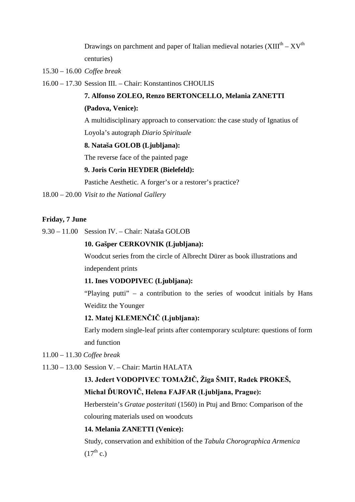Drawings on parchment and paper of Italian medieval notaries  $(XIII<sup>th</sup> - XV<sup>th</sup>)$ centuries)

15.30 – 16.00 *Coffee break*

16.00 – 17.30 Session III. – Chair: Konstantinos CHOULIS

## **7. Alfonso ZOLEO, Renzo BERTONCELLO, Melania ZANETTI**

#### **(Padova, Venice):**

A multidisciplinary approach to conservation: the case study of Ignatius of Loyola's autograph *Diario Spirituale*

#### **8. Nataša GOLOB (Ljubljana):**

The reverse face of the painted page

#### **9. Joris Corin HEYDER (Bielefeld):**

Pastiche Aesthetic. A forger's or a restorer's practice?

18.00 – 20.00 *Visit to the National Gallery*

#### **Friday, 7 June**

9.30 – 11.00 Session IV. – Chair: Nataša GOLOB

#### **10. Gašper CERKOVNIK (Ljubljana):**

Woodcut series from the circle of Albrecht Dürer as book illustrations and independent prints

#### **11. Ines VODOPIVEC (Ljubljana):**

"Playing putti" – a contribution to the series of woodcut initials by Hans Weiditz the Younger

## **12. Matej KLEMENČIČ (Ljubljana):**

Early modern single-leaf prints after contemporary sculpture: questions of form and function

- 11.00 11.30 *Coffee break*
- 11.30 13.00 Session V. Chair: Martin HALATA

## **13. Jedert VODOPIVEC TOMAŽIČ, Žiga ŠMIT, Radek PROKEŠ, Michal ĎUROVIČ, Helena FAJFAR (Ljubljana, Prague):**

Herberstein's *Gratae posteritati* (1560) in Ptuj and Brno: Comparison of the colouring materials used on woodcuts

#### **14. Melania ZANETTI (Venice):**

Study, conservation and exhibition of the *Tabula Chorographica Armenica*  $(17^{th}$  c.)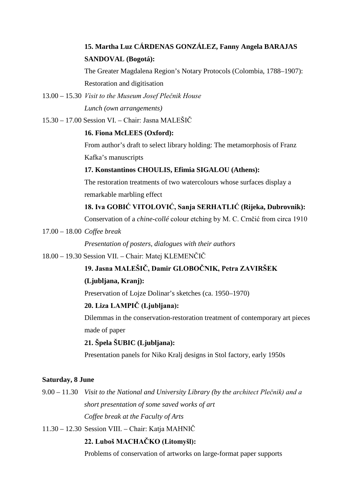## **15. Martha Luz CÁRDENAS GONZÁLEZ, Fanny Angela BARAJAS SANDOVAL (Bogotá):**

The Greater Magdalena Region's Notary Protocols (Colombia, 1788–1907): Restoration and digitisation

- 13.00 15.30 *Visit to the Museum Josef Plečnik House Lunch (own arrangements)*
- 15.30 17.00 Session VI. Chair: Jasna MALEŠIČ

### **16. Fiona McLEES (Oxford):**

From author's draft to select library holding: The metamorphosis of Franz Kafka's manuscripts

### **17. Konstantinos CHOULIS, Efimia SIGALOU (Athens):**

The restoration treatments of two watercolours whose surfaces display a remarkable marbling effect

## **18. Iva GOBIĆ VITOLOVIĆ, Sanja SERHATLIĆ (Rijeka, Dubrovnik):**

Conservation of a *chine-collé* colour etching by M. C. Crnčić from circa 1910

17.00 – 18.00 *Coffee break*

*Presentation of posters, dialogues with their authors*

18.00 – 19.30 Session VII. – Chair: Matej KLEMENČIČ

## **19. Jasna MALEŠIČ, Damir GLOBOČNIK, Petra ZAVIRŠEK**

## **(Ljubljana, Kranj):**

Preservation of Lojze Dolinar's sketches (ca. 1950–1970)

## **20. Liza LAMPIČ (Ljubljana):**

Dilemmas in the conservation-restoration treatment of contemporary art pieces made of paper

## **21. Špela ŠUBIC (Ljubljana):**

Presentation panels for Niko Kralj designs in Stol factory, early 1950s

## **Saturday, 8 June**

9.00 – 11.30 *Visit to the National and University Library (by the architect Plečnik) and a short presentation of some saved works of art Coffee break at the Faculty of Arts*

11.30 – 12.30 Session VIII. – Chair: Katja MAHNIČ

## **22. Luboš MACHAČKO (Litomyšl):**

Problems of conservation of artworks on large-format paper supports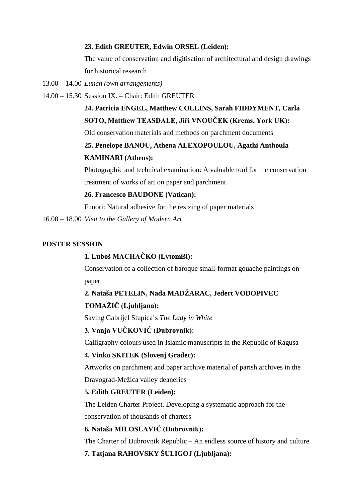#### **23. Edith GREUTER, Edwin ORSEL (Leiden):**

The value of conservation and digitisation of architectural and design drawings for historical research

- 13.00 14.00 *Lunch (own arrangements)*
- 14.00 15.30 Session IX. Chair: Edith GREUTER

## **24. Patricia ENGEL, Matthew COLLINS, Sarah FIDDYMENT, Carla SOTO, Matthew TEASDALE, Jiři VNOUČEK (Krems, York UK):**

Old conservation materials and methods on parchment documents

## **25. Penelope BANOU, Athena ALEXOPOULOU, Agathi Anthoula KAMINARI (Athens):**

Photographic and technical examination: A valuable tool for the conservation treatment of works of art on paper and parchment

### **26. Francesco BAUDONE (Vatican):**

Funori: Natural adhesive for the resizing of paper materials

16.00 – 18.00 *Visit to the Gallery of Modern Art*

#### **POSTER SESSION**

## **1. Luboš MACHAČKO (Lytomišl):**

Conservation of a collection of baroque small-format gouache paintings on paper

## **2. Nataša PETELIN, Nada MADŽARAC, Jedert VODOPIVEC TOMAŽIČ (Ljubljana):**

Saving Gabrijel Stupica's *The Lady in White*

## **3. Vanja VUČKOVIĆ (Dubrovnik):**

Calligraphy colours used in Islamic manuscripts in the Republic of Ragusa

#### **4. Vinko SKITEK (Slovenj Gradec):**

Artworks on parchment and paper archive material of parish archives in the Dravograd-Mežica valley deaneries

#### **5. Edith GREUTER (Leiden):**

The Leiden Charter Project. Developing a systematic approach for the conservation of thousands of charters

### **6. Nataša MILOSLAVIĆ (Dubrovnik):**

The Charter of Dubrovnik Republic – An endless source of history and culture

## **7. Tatjana RAHOVSKY ŠULIGOJ (Ljubljana):**